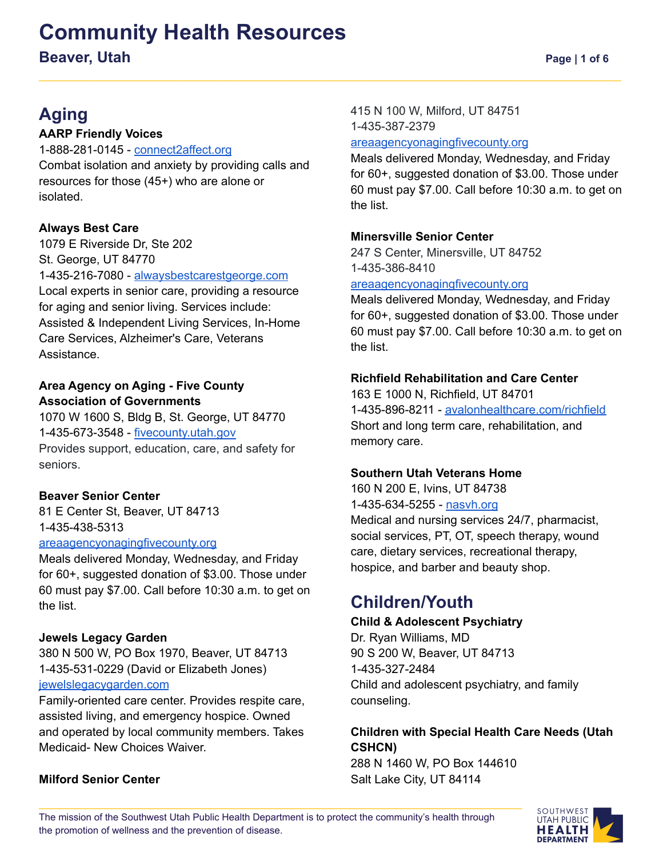# **Community Health Resources**

**Beaver, Utah Page** | **1** of 6

### **Aging**

#### **AARP Friendly Voices**

1-888-281-0145 - [connect2affect.org](https://connect2affect.org/) Combat isolation and anxiety by providing calls and resources for those (45+) who are alone or isolated.

#### **Always Best Care**

1079 E Riverside Dr, Ste 202 St. George, UT 84770 1-435-216-7080 - [alwaysbestcarestgeorge.com](http://www.alwaysbestcarestgeorge.com) Local experts in senior care, providing a resource for aging and senior living. Services include: Assisted & Independent Living Services, In-Home Care Services, Alzheimer's Care, Veterans Assistance.

#### **Area Agency on Aging - Five County Association of Governments**

1070 W 1600 S, Bldg B, St. George, UT 84770 1-435-673-3548 - [fivecounty.utah.gov](http://www.fivecounty.utah.gov/) Provides support, education, care, and safety for seniors.

#### **Beaver Senior Center**

81 E Center St, Beaver, UT 84713 1-435-438-5313

#### [areaagencyonagingfivecounty.org](https://www.areaagencyonagingfivecounty.org/senior-citizen-centers)

Meals delivered Monday, Wednesday, and Friday for 60+, suggested donation of \$3.00. Those under 60 must pay \$7.00. Call before 10:30 a.m. to get on the list.

#### **Jewels Legacy Garden**

380 N 500 W, PO Box 1970, Beaver, UT 84713 1-435-531-0229 (David or Elizabeth Jones) [jewelslegacygarden.com](https://www.jewelslegacygarden.com/)

Family-oriented care center. Provides respite care, assisted living, and emergency hospice. Owned and operated by local community members. Takes Medicaid- New Choices Waiver.

#### **Milford Senior Center**

415 N 100 W, Milford, UT 84751 1-435-387-2379

#### [areaagencyonagingfivecounty.org](https://www.areaagencyonagingfivecounty.org/senior-citizen-centers)

Meals delivered Monday, Wednesday, and Friday for 60+, suggested donation of \$3.00. Those under 60 must pay \$7.00. Call before 10:30 a.m. to get on the list.

#### **Minersville Senior Center**

247 S Center, Minersville, UT 84752 1-435-386-8410

#### [areaagencyonagingfivecounty.org](https://www.areaagencyonagingfivecounty.org/senior-citizen-centers)

Meals delivered Monday, Wednesday, and Friday for 60+, suggested donation of \$3.00. Those under 60 must pay \$7.00. Call before 10:30 a.m. to get on the list.

#### **Richfield Rehabilitation and Care Center**

163 E 1000 N, Richfield, UT 84701 1-435-896-8211 - [avalonhealthcare.com/richfield](https://www.avalonhealthcare.com/richfield/) Short and long term care, rehabilitation, and memory care.

#### **Southern Utah Veterans Home**

160 N 200 E, Ivins, UT 84738 1-435-634-5255 - [nasvh.org](https://www.nasvh.org/state-homes/statedir-info.cfm?id=193) Medical and nursing services 24/7, pharmacist, social services, PT, OT, speech therapy, wound care, dietary services, recreational therapy, hospice, and barber and beauty shop.

### **Children/Youth**

#### **Child & Adolescent Psychiatry**

Dr. Ryan Williams, MD 90 S 200 W, Beaver, UT 84713 1-435-327-2484 Child and adolescent psychiatry, and family counseling.

#### **Children with Special Health Care Needs (Utah CSHCN)**

288 N 1460 W, PO Box 144610 Salt Lake City, UT 84114

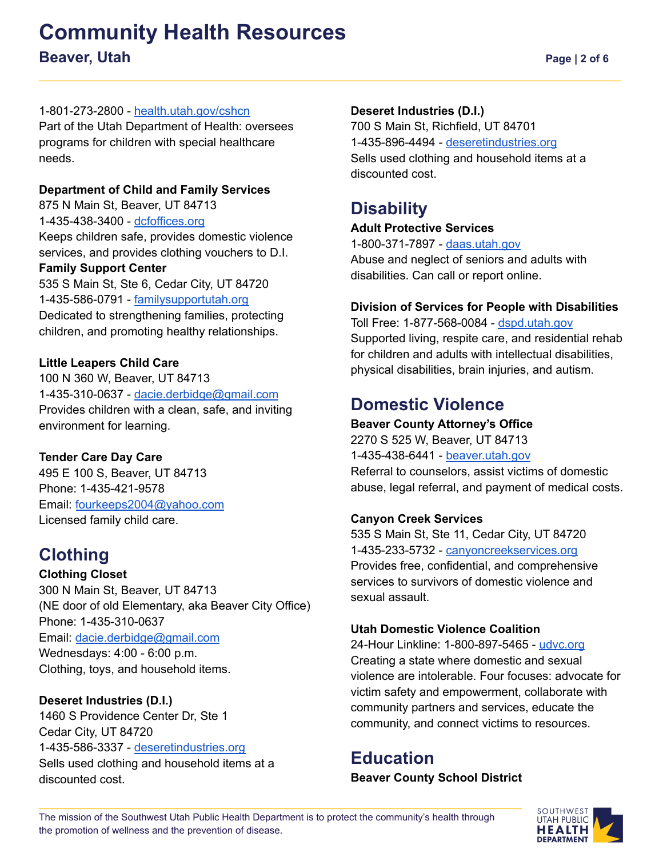# **Community Health Resources Beaver, Utah Page** | **2** of 6

Part of the Utah Department of Health: oversees programs for children with special healthcare needs.

#### **Department of Child and Family Services**

875 N Main St, Beaver, UT 84713 1-435-438-3400 - [dcfoffices.org](https://www.dcfoffices.org/office/beaver-dcfs-office) Keeps children safe, provides domestic violence services, and provides clothing vouchers to D.I.

#### **Family Support Center**

535 S Main St, Ste 6, Cedar City, UT 84720 1-435-586-0791 - [familysupportutah.org](https://familysupportutah.org/) Dedicated to strengthening families, protecting children, and promoting healthy relationships.

#### **Little Leapers Child Care**

100 N 360 W, Beaver, UT 84713 1-435-310-0637 - [dacie.derbidge@gmail.com](mailto:dacie.derbidge@gmail.com) Provides children with a clean, safe, and inviting environment for learning.

#### **Tender Care Day Care**

495 E 100 S, Beaver, UT 84713 Phone: 1-435-421-9578 Email: [fourkeeps2004@yahoo.com](mailto:fourkeeps2004@yahoo.com) Licensed family child care.

### **Clothing**

**Clothing Closet** 300 N Main St, Beaver, UT 84713 (NE door of old Elementary, aka Beaver City Office) Phone: 1-435-310-0637 Email: [dacie.derbidge@gmail.com](mailto:dacie.derbidge@gmail.com) Wednesdays: 4:00 - 6:00 p.m. Clothing, toys, and household items.

#### **Deseret Industries (D.I.)**

1460 S Providence Center Dr, Ste 1 Cedar City, UT 84720 1-435-586-3337 - [deseretindustries.org](https://www.deseretindustries.org/) Sells used clothing and household items at a discounted cost.

#### **Deseret Industries (D.I.)**

700 S Main St, Richfield, UT 84701 1-435-896-4494 - [deseretindustries.org](https://www.deseretindustries.org/) Sells used clothing and household items at a discounted cost.

### **Disability**

#### **Adult Protective Services**

1-800-371-7897 - [daas.utah.gov](https://daas.utah.gov/adult-protective-services/) Abuse and neglect of seniors and adults with disabilities. Can call or report online.

#### **Division of Services for People with Disabilities**

Toll Free: 1-877-568-0084 - [dspd.utah.gov](https://dspd.utah.gov/) Supported living, respite care, and residential rehab for children and adults with intellectual disabilities, physical disabilities, brain injuries, and autism.

### **Domestic Violence**

#### **Beaver County Attorney's Office**

2270 S 525 W, Beaver, UT 84713 1-435-438-6441 - [beaver.utah.gov](https://www.beaver.utah.gov/directory.aspx?did=5) Referral to counselors, assist victims of domestic abuse, legal referral, and payment of medical costs.

#### **Canyon Creek Services**

535 S Main St, Ste 11, Cedar City, UT 84720 1-435-233-5732 - [canyoncreekservices.org](https://canyoncreekservices.org/) Provides free, confidential, and comprehensive services to survivors of domestic violence and sexual assault.

#### **Utah Domestic Violence Coalition**

24-Hour Linkline: 1-800-897-5465 - [udvc.org](https://www.udvc.org/) Creating a state where domestic and sexual violence are intolerable. Four focuses: advocate for victim safety and empowerment, collaborate with community partners and services, educate the community, and connect victims to resources.

### **Education**

**Beaver County School District**

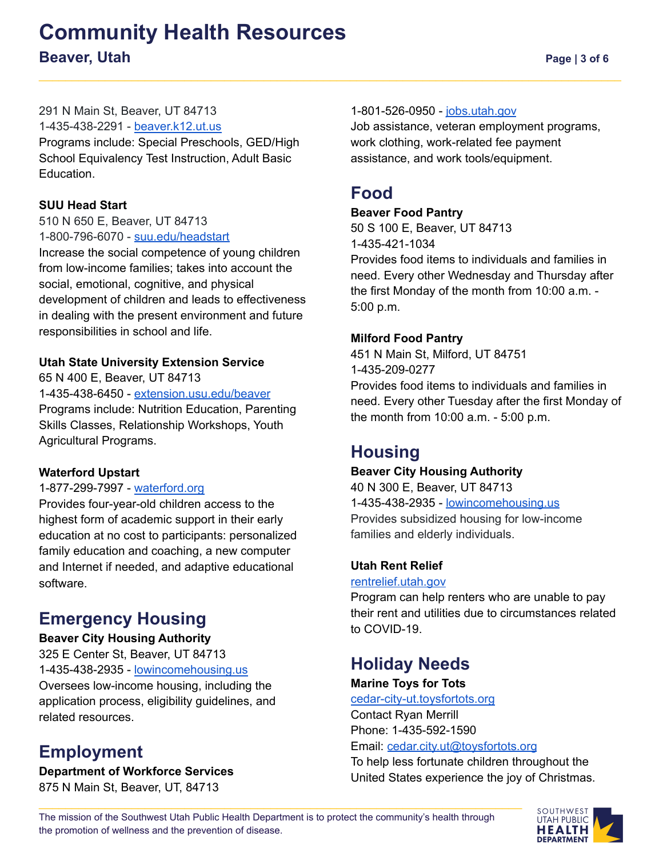# **Community Health Resources Beaver, Utah Page** | 3 of 6

#### 291 N Main St, Beaver, UT 84713

1-435-438-2291 - [beaver.k12.ut.us](https://www.beaver.k12.ut.us/)

Programs include: Special Preschools, GED/High School Equivalency Test Instruction, Adult Basic Education.

#### **SUU Head Start**

510 N 650 E, Beaver, UT 84713 1-800-796-6070 - [suu.edu/headstart](http://www.suu.edu/headstart)

Increase the social competence of young children from low-income families; takes into account the social, emotional, cognitive, and physical development of children and leads to effectiveness in dealing with the present environment and future responsibilities in school and life.

#### **Utah State University Extension Service**

65 N 400 E, Beaver, UT 84713 1-435-438-6450 - [extension.usu.edu/beaver](https://extension.usu.edu/beaver/) Programs include: Nutrition Education, Parenting Skills Classes, Relationship Workshops, Youth Agricultural Programs.

#### **Waterford Upstart**

#### 1-877-299-7997 - [waterford.org](https://www.waterford.org/)

Provides four-year-old children access to the highest form of academic support in their early education at no cost to participants: personalized family education and coaching, a new computer and Internet if needed, and adaptive educational software.

### **Emergency Housing**

#### **Beaver City Housing Authority**

325 E Center St, Beaver, UT 84713 1-435-438-2935 - [lowincomehousing.us](https://www.lowincomehousing.us/det/Beaver_City_Housing_Authority-84713-j4) Oversees low-income housing, including the application process, eligibility guidelines, and related resources.

### **Employment**

**Department of Workforce Services** 875 N Main St, Beaver, UT, 84713

#### 1-801-526-0950 - [jobs.utah.gov](https://jobs.utah.gov/wi/insights/county/beaver.html)

Job assistance, veteran employment programs, work clothing, work-related fee payment assistance, and work tools/equipment.

### **Food**

#### **Beaver Food Pantry**

50 S 100 E, Beaver, UT 84713 1-435-421-1034 Provides food items to individuals and families in need. Every other Wednesday and Thursday after the first Monday of the month from 10:00 a.m. - 5:00 p.m.

#### **Milford Food Pantry**

451 N Main St, Milford, UT 84751 1-435-209-0277 Provides food items to individuals and families in need. Every other Tuesday after the first Monday of the month from 10:00 a.m. - 5:00 p.m.

### **Housing**

#### **Beaver City Housing Authority**

40 N 300 E, Beaver, UT 84713 1-435-438-2935 - [lowincomehousing.us](https://www.lowincomehousing.us/det/Beaver_City_Housing_Authority-84713-j4) Provides subsidized housing for low-income families and elderly individuals.

#### **Utah Rent Relief**

#### [rentrelief.utah.gov](https://rentrelief.utah.gov/)

Program can help renters who are unable to pay their rent and utilities due to circumstances related to COVID-19.

### **Holiday Needs**

#### **Marine Toys for Tots**

[cedar-city-ut.toysfortots.org](https://cedar-city-ut.toysfortots.org/)

Contact Ryan Merrill Phone: 1-435-592-1590

Email: [cedar.city.ut@toysfortots.org](mailto:cedar.city.ut@toysfortots.org)

To help less fortunate children throughout the United States experience the joy of Christmas.

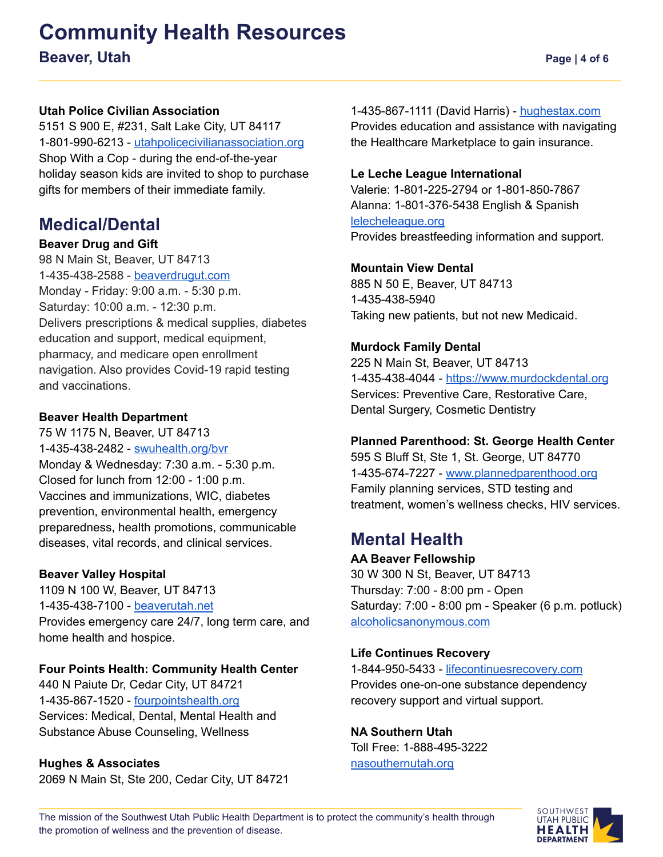# **Community Health Resources Beaver, Utah Page** | 4 of 6

#### **Utah Police Civilian Association**

5151 S 900 E, #231, Salt Lake City, UT 84117 1-801-990-6213 - [utahpolicecivilianassociation.org](https://utahpolicecivilianassociation.org/shop-with-a-cop/) Shop With a Cop - during the end-of-the-year holiday season kids are invited to shop to purchase gifts for members of their immediate family.

### **Medical/Dental**

#### **Beaver Drug and Gift**

98 N Main St, Beaver, UT 84713 1-435-438-2588 - [beaverdrugut.com](https://www.beaverdrugut.com/) Monday - Friday: 9:00 a.m. - 5:30 p.m. Saturday: 10:00 a.m. - 12:30 p.m. Delivers prescriptions & medical supplies, diabetes education and support, medical equipment, pharmacy, and medicare open enrollment navigation. Also provides Covid-19 rapid testing and vaccinations.

#### **Beaver Health Department**

75 W 1175 N, Beaver, UT 84713 1-435-438-2482 - [swuhealth.org/bvr](https://swuhealth.org/bvr/) Monday & Wednesday: 7:30 a.m. - 5:30 p.m. Closed for lunch from 12:00 - 1:00 p.m. Vaccines and immunizations, WIC, diabetes prevention, environmental health, emergency preparedness, health promotions, communicable diseases, vital records, and clinical services.

#### **Beaver Valley Hospital**

1109 N 100 W, Beaver, UT 84713 1-435-438-7100 - [beaverutah.net](http://beaverutah.net/community/beaver-valley-hospital/) Provides emergency care 24/7, long term care, and home health and hospice.

#### **Four Points Health: Community Health Center**

440 N Paiute Dr, Cedar City, UT 84721 1-435-867-1520 - [fourpointshealth.org](https://fourpointshealth.org/) Services: Medical, Dental, Mental Health and Substance Abuse Counseling, Wellness

#### **Hughes & Associates**

2069 N Main St, Ste 200, Cedar City, UT 84721

1-435-867-1111 (David Harris) - [hughestax.com](http://www.hughestax.com/) Provides education and assistance with navigating the Healthcare Marketplace to gain insurance.

#### **Le Leche League International**

Valerie: 1-801-225-2794 or 1-801-850-7867 Alanna: 1-801-376-5438 English & Spanish [lelecheleague.org](https://www.llli.org/) Provides breastfeeding information and support.

#### **Mountain View Dental**

885 N 50 E, Beaver, UT 84713 1-435-438-5940 Taking new patients, but not new Medicaid.

#### **Murdock Family Dental**

225 N Main St, Beaver, UT 84713 1-435-438-4044 - [https://www.murdockdental.org](https://www.murdockdental.org/) Services: Preventive Care, Restorative Care, Dental Surgery, Cosmetic Dentistry

#### **Planned Parenthood: St. George Health Center**

595 S Bluff St, Ste 1, St. George, UT 84770 1-435-674-7227 - [www.plannedparenthood.org](https://www.plannedparenthood.org/health-center/utah/saint-george/84770/st-george-health-center-2813-91730?utm_campaign=st.-george-health-center&utm_medium=organic&utm_source=local-listing) Family planning services, STD testing and treatment, women's wellness checks, HIV services.

### **Mental Health**

**AA Beaver Fellowship** 30 W 300 N St, Beaver, UT 84713 Thursday: 7:00 - 8:00 pm - Open Saturday: 7:00 - 8:00 pm - Speaker (6 p.m. potluck) [alcoholicsanonymous.com](https://alcoholicsanonymous.com/)

#### **Life Continues Recovery**

1-844-950-5433 - [lifecontinuesrecovery.com](https://lifecontinuesrecovery.com/) Provides one-on-one substance dependency recovery support and virtual support.

**NA Southern Utah** Toll Free: 1-888-495-3222 [nasouthernutah.org](http://nasouthernutah.org/)

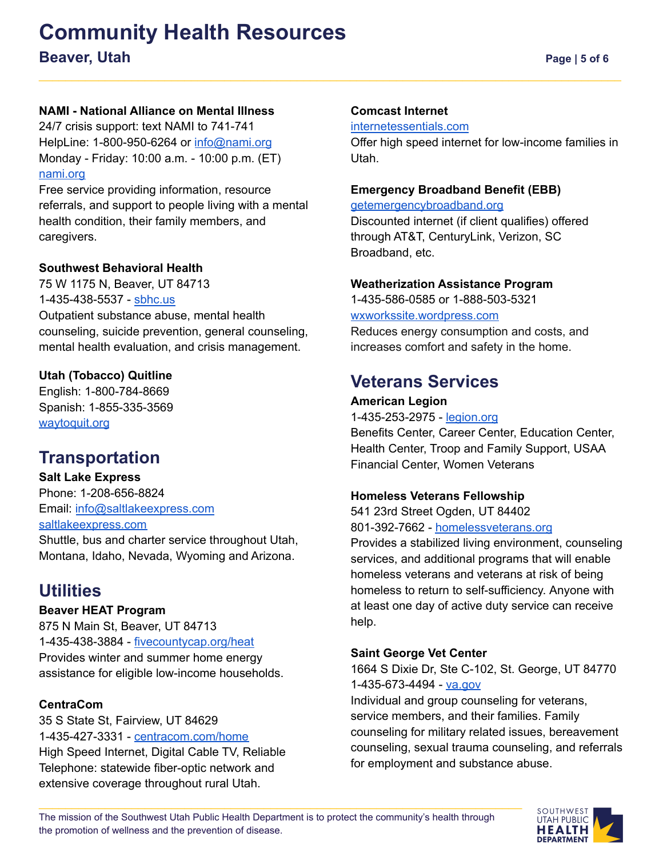# **Community Health Resources Beaver, Utah Page** | **5** of **6**

#### **NAMI - National Alliance on Mental Illness**

24/7 crisis support: text NAMI to 741-741 HelpLine: 1-800-950-6264 or [info@nami.org](mailto:info@nami.org) Monday - Friday: 10:00 a.m. - 10:00 p.m. (ET) [nami.org](https://www.nami.org/Home)

Free service providing information, resource referrals, and support to people living with a mental health condition, their family members, and caregivers.

#### **Southwest Behavioral Health**

75 W 1175 N, Beaver, UT 84713 1-435-438-5537 - [sbhc.us](https://www.sbhc.us/) Outpatient substance abuse, mental health counseling, suicide prevention, general counseling, mental health evaluation, and crisis management.

#### **Utah (Tobacco) Quitline**

English: 1-800-784-8669 Spanish: 1-855-335-3569 [waytoquit.org](https://waytoquit.org/)

### **Transportation**

**Salt Lake Express** Phone: 1-208-656-8824 Email: [info@saltlakeexpress.com](mailto:info@saltlakeexpress.com) [saltlakeexpress.com](https://saltlakeexpress.com/)

Shuttle, bus and charter service throughout Utah, Montana, Idaho, Nevada, Wyoming and Arizona.

### **Utilities**

#### **Beaver HEAT Program**

875 N Main St, Beaver, UT 84713 1-435-438-3884 - [fivecountycap.org/heat](http://fivecountycap.org/heat/) Provides winter and summer home energy assistance for eligible low-income households.

#### **CentraCom**

35 S State St, Fairview, UT 84629 1-435-427-3331 - [centracom.com/home](https://centracom.com/home) High Speed Internet, Digital Cable TV, Reliable Telephone: statewide fiber-optic network and extensive coverage throughout rural Utah.

#### **Comcast Internet**

[internetessentials.com](https://www.internetessentials.com/)

Offer high speed internet for low-income families in Utah.

#### **Emergency Broadband Benefit (EBB)**

[getemergencybroadband.org](https://getemergencybroadband.org/)

Discounted internet (if client qualifies) offered through AT&T, CenturyLink, Verizon, SC Broadband, etc.

#### **Weatherization Assistance Program**

1-435-586-0585 or 1-888-503-5321 [wxworkssite.wordpress.com](https://wxworkssite.wordpress.com) Reduces energy consumption and costs, and increases comfort and safety in the home.

### **Veterans Services**

#### **American Legion**

1-435-253-2975 - [legion.org](https://www.legion.org/)

Benefits Center, Career Center, Education Center, Health Center, Troop and Family Support, USAA Financial Center, Women Veterans

#### **Homeless Veterans Fellowship**

541 23rd Street Ogden, UT 84402 801-392-7662 - [homelessveterans.org](https://www.homelessveterans.org/)

Provides a stabilized living environment, counseling services, and additional programs that will enable homeless veterans and veterans at risk of being homeless to return to self-sufficiency. Anyone with at least one day of active duty service can receive help.

#### **Saint George Vet Center**

1664 S Dixie Dr, Ste C-102, St. George, UT 84770 1-435-673-4494 - [va.gov](https://www.va.gov/)

Individual and group counseling for veterans, service members, and their families. Family counseling for military related issues, bereavement counseling, sexual trauma counseling, and referrals for employment and substance abuse.

The mission of the Southwest Utah Public Health Department is to protect the community's health through the promotion of wellness and the prevention of disease.